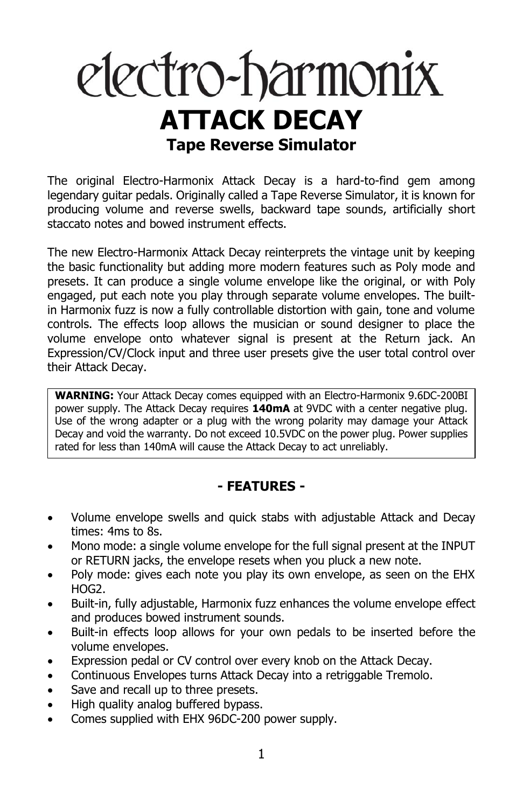# electro-harmonix **ATTACK DECAY Tape Reverse Simulator**

The original Electro-Harmonix Attack Decay is a hard-to-find gem among legendary guitar pedals. Originally called a Tape Reverse Simulator, it is known for producing volume and reverse swells, backward tape sounds, artificially short staccato notes and bowed instrument effects.

The new Electro-Harmonix Attack Decay reinterprets the vintage unit by keeping the basic functionality but adding more modern features such as Poly mode and presets. It can produce a single volume envelope like the original, or with Poly engaged, put each note you play through separate volume envelopes. The builtin Harmonix fuzz is now a fully controllable distortion with gain, tone and volume controls. The effects loop allows the musician or sound designer to place the volume envelope onto whatever signal is present at the Return jack. An Expression/CV/Clock input and three user presets give the user total control over their Attack Decay.

**WARNING:** Your Attack Decay comes equipped with an Electro-Harmonix 9.6DC-200BI power supply. The Attack Decay requires **140mA** at 9VDC with a center negative plug. Use of the wrong adapter or a plug with the wrong polarity may damage your Attack Decay and void the warranty. Do not exceed 10.5VDC on the power plug. Power supplies rated for less than 140mA will cause the Attack Decay to act unreliably.

#### **- FEATURES -**

- Volume envelope swells and quick stabs with adjustable Attack and Decay times: 4ms to 8s.
- Mono mode: a single volume envelope for the full signal present at the INPUT or RETURN jacks, the envelope resets when you pluck a new note.
- Poly mode: gives each note you play its own envelope, as seen on the EHX HOG2.
- Built-in, fully adjustable, Harmonix fuzz enhances the volume envelope effect and produces bowed instrument sounds.
- Built-in effects loop allows for your own pedals to be inserted before the volume envelopes.
- Expression pedal or CV control over every knob on the Attack Decay.
- Continuous Envelopes turns Attack Decay into a retriggable Tremolo.
- Save and recall up to three presets.
- High quality analog buffered bypass.
- Comes supplied with EHX 96DC-200 power supply.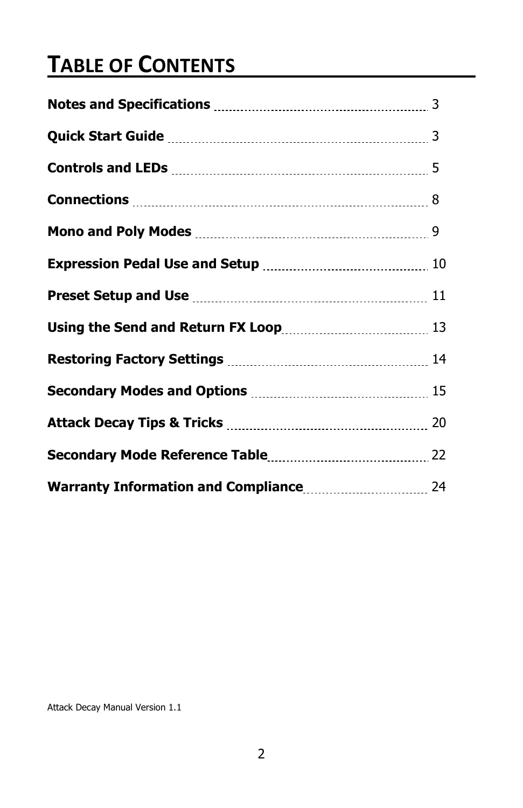### **TABLE OF CONTENTS**

Attack Decay Manual Version 1.1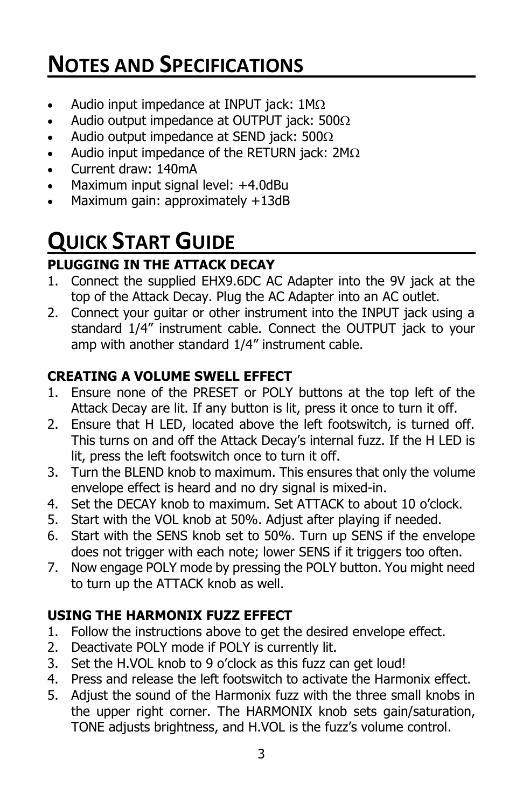### **NOTES AND SPECIFICATIONS**

- Audio input impedance at INPUT jack:  $1M\Omega$
- Audio output impedance at OUTPUT jack: 500 $\Omega$
- Audio output impedance at SEND jack:  $500\Omega$
- Audio input impedance of the RETURN jack:  $2M\Omega$
- Current draw: 140mA
- Maximum input signal level: +4.0dBu
- Maximum gain: approximately +13dB

## **QUICK START GUIDE**

#### **PLUGGING IN THE ATTACK DECAY**

- 1. Connect the supplied EHX9.6DC AC Adapter into the 9V jack at the top of the Attack Decay. Plug the AC Adapter into an AC outlet.
- 2. Connect your guitar or other instrument into the INPUT jack using a standard 1/4" instrument cable. Connect the OUTPUT jack to your amp with another standard 1/4" instrument cable.

#### **CREATING A VOLUME SWELL EFFECT**

- 1. Ensure none of the PRESET or POLY buttons at the top left of the Attack Decay are lit. If any button is lit, press it once to turn it off.
- 2. Ensure that H LED, located above the left footswitch, is turned off. This turns on and off the Attack Decay's internal fuzz. If the H LED is lit, press the left footswitch once to turn it off.
- 3. Turn the BLEND knob to maximum. This ensures that only the volume envelope effect is heard and no dry signal is mixed-in.
- 4. Set the DECAY knob to maximum. Set ATTACK to about 10 o'clock.
- 5. Start with the VOL knob at 50%. Adjust after playing if needed.
- 6. Start with the SENS knob set to 50%. Turn up SENS if the envelope does not trigger with each note; lower SENS if it triggers too often.
- 7. Now engage POLY mode by pressing the POLY button. You might need to turn up the ATTACK knob as well.

#### **USING THE HARMONIX FUZZ EFFECT**

- 1. Follow the instructions above to get the desired envelope effect.
- 2. Deactivate POLY mode if POLY is currently lit.
- 3. Set the H.VOL knob to 9 o'clock as this fuzz can get loud!
- 4. Press and release the left footswitch to activate the Harmonix effect.
- 5. Adjust the sound of the Harmonix fuzz with the three small knobs in the upper right corner. The HARMONIX knob sets gain/saturation, TONE adjusts brightness, and H.VOL is the fuzz's volume control.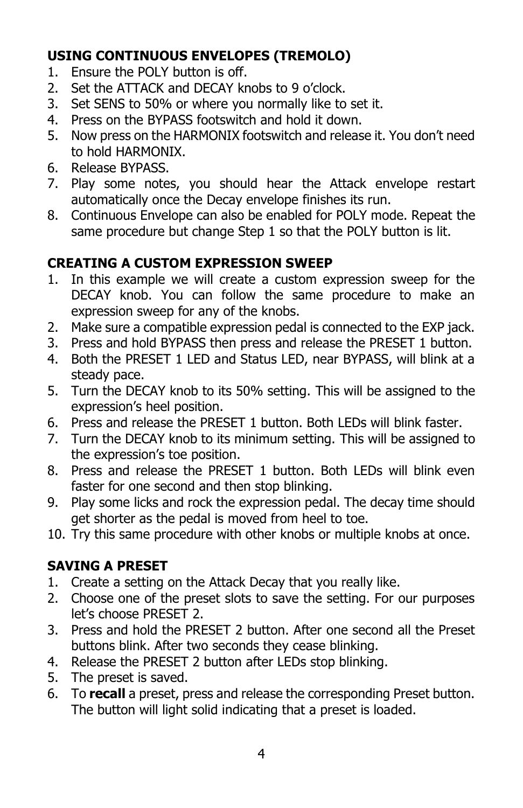#### **USING CONTINUOUS ENVELOPES (TREMOLO)**

- 1. Ensure the POLY button is off.
- 2. Set the ATTACK and DECAY knobs to 9 o'clock.
- 3. Set SENS to 50% or where you normally like to set it.
- 4. Press on the BYPASS footswitch and hold it down.
- 5. Now press on the HARMONIX footswitch and release it. You don't need to hold HARMONIX.
- 6. Release BYPASS.
- 7. Play some notes, you should hear the Attack envelope restart automatically once the Decay envelope finishes its run.
- 8. Continuous Envelope can also be enabled for POLY mode. Repeat the same procedure but change Step 1 so that the POLY button is lit.

#### **CREATING A CUSTOM EXPRESSION SWEEP**

- 1. In this example we will create a custom expression sweep for the DECAY knob. You can follow the same procedure to make an expression sweep for any of the knobs.
- 2. Make sure a compatible expression pedal is connected to the EXP jack.
- 3. Press and hold BYPASS then press and release the PRESET 1 button.
- 4. Both the PRESET 1 LED and Status LED, near BYPASS, will blink at a steady pace.
- 5. Turn the DECAY knob to its 50% setting. This will be assigned to the expression's heel position.
- 6. Press and release the PRESET 1 button. Both LEDs will blink faster.
- 7. Turn the DECAY knob to its minimum setting. This will be assigned to the expression's toe position.
- 8. Press and release the PRESET 1 button. Both LEDs will blink even faster for one second and then stop blinking.
- 9. Play some licks and rock the expression pedal. The decay time should get shorter as the pedal is moved from heel to toe.
- 10. Try this same procedure with other knobs or multiple knobs at once.

#### **SAVING A PRESET**

- 1. Create a setting on the Attack Decay that you really like.
- 2. Choose one of the preset slots to save the setting. For our purposes let's choose PRESET 2.
- 3. Press and hold the PRESET 2 button. After one second all the Preset buttons blink. After two seconds they cease blinking.
- 4. Release the PRESET 2 button after LEDs stop blinking.
- 5. The preset is saved.
- 6. To **recall** a preset, press and release the corresponding Preset button. The button will light solid indicating that a preset is loaded.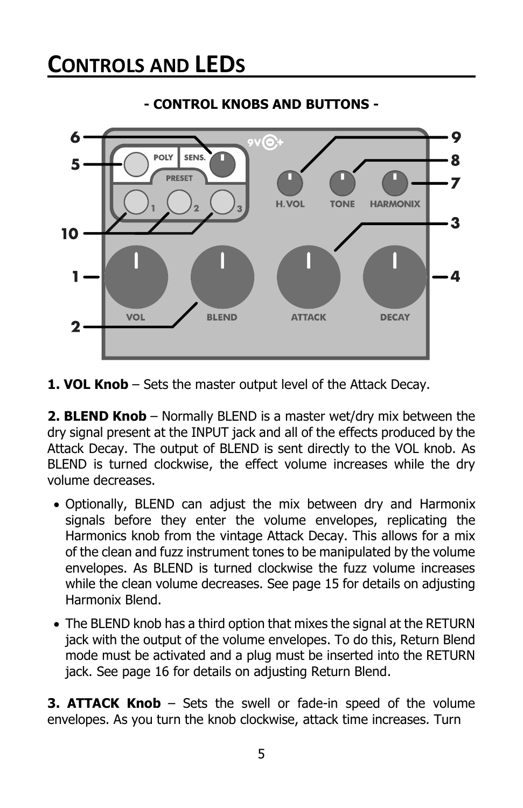

#### **- CONTROL KNOBS AND BUTTONS -**

**1. VOL Knob** – Sets the master output level of the Attack Decay.

**2. BLEND Knob** – Normally BLEND is a master wet/dry mix between the dry signal present at the INPUT jack and all of the effects produced by the Attack Decay. The output of BLEND is sent directly to the VOL knob. As BLEND is turned clockwise, the effect volume increases while the dry volume decreases.

- Optionally, BLEND can adjust the mix between dry and Harmonix signals before they enter the volume envelopes, replicating the Harmonics knob from the vintage Attack Decay. This allows for a mix of the clean and fuzz instrument tones to be manipulated by the volume envelopes. As BLEND is turned clockwise the fuzz volume increases while the clean volume decreases. See page 15 for details on adjusting Harmonix Blend.
- The BLEND knob has a third option that mixes the signal at the RETURN jack with the output of the volume envelopes. To do this, Return Blend mode must be activated and a plug must be inserted into the RETURN jack. See page 16 for details on adjusting Return Blend.

**3. ATTACK Knob** – Sets the swell or fade-in speed of the volume envelopes. As you turn the knob clockwise, attack time increases. Turn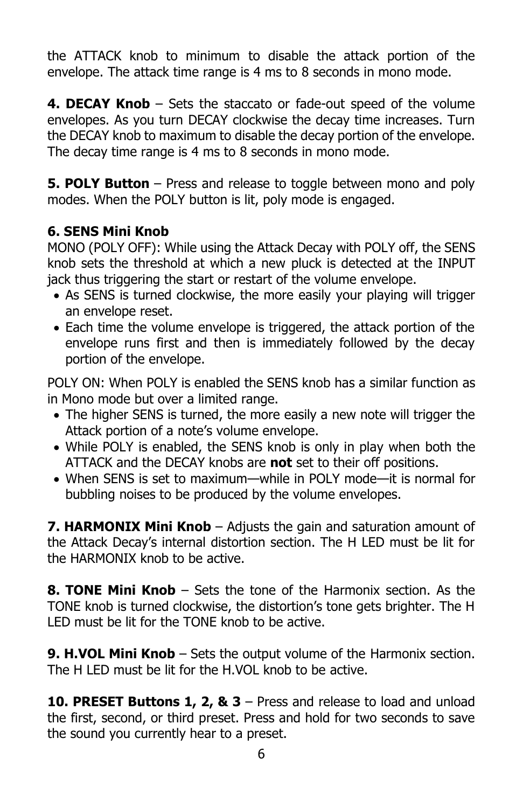the ATTACK knob to minimum to disable the attack portion of the envelope. The attack time range is 4 ms to 8 seconds in mono mode.

**4. DECAY Knob** – Sets the staccato or fade-out speed of the volume envelopes. As you turn DECAY clockwise the decay time increases. Turn the DECAY knob to maximum to disable the decay portion of the envelope. The decay time range is 4 ms to 8 seconds in mono mode.

**5. POLY Button** – Press and release to toggle between mono and poly modes. When the POLY button is lit, poly mode is engaged.

#### **6. SENS Mini Knob**

MONO (POLY OFF): While using the Attack Decay with POLY off, the SENS knob sets the threshold at which a new pluck is detected at the INPUT jack thus triggering the start or restart of the volume envelope.

- As SENS is turned clockwise, the more easily your playing will trigger an envelope reset.
- Each time the volume envelope is triggered, the attack portion of the envelope runs first and then is immediately followed by the decay portion of the envelope.

POLY ON: When POLY is enabled the SENS knob has a similar function as in Mono mode but over a limited range.

- The higher SENS is turned, the more easily a new note will trigger the Attack portion of a note's volume envelope.
- While POLY is enabled, the SENS knob is only in play when both the ATTACK and the DECAY knobs are **not** set to their off positions.
- When SENS is set to maximum—while in POLY mode—it is normal for bubbling noises to be produced by the volume envelopes.

**7. HARMONIX Mini Knob** – Adjusts the gain and saturation amount of the Attack Decay's internal distortion section. The H LED must be lit for the HARMONIX knob to be active.

**8. TONE Mini Knob** – Sets the tone of the Harmonix section. As the TONE knob is turned clockwise, the distortion's tone gets brighter. The H LED must be lit for the TONE knob to be active.

**9. H.VOL Mini Knob** – Sets the output volume of the Harmonix section. The H LED must be lit for the H.VOL knob to be active.

**10. PRESET Buttons 1, 2, & 3** – Press and release to load and unload the first, second, or third preset. Press and hold for two seconds to save the sound you currently hear to a preset.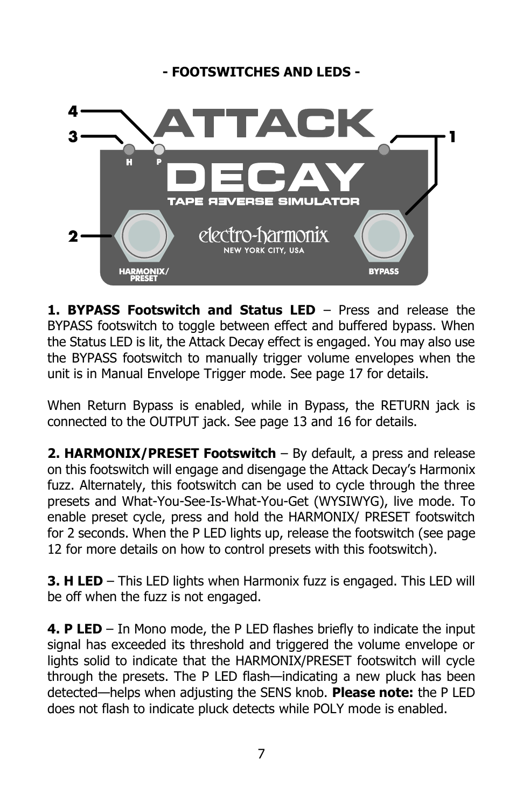#### **- FOOTSWITCHES AND LEDS -**



**1. BYPASS Footswitch and Status LED** – Press and release the BYPASS footswitch to toggle between effect and buffered bypass. When the Status LED is lit, the Attack Decay effect is engaged. You may also use the BYPASS footswitch to manually trigger volume envelopes when the unit is in Manual Envelope Trigger mode. See page 17 for details.

When Return Bypass is enabled, while in Bypass, the RETURN jack is connected to the OUTPUT jack. See page 13 and 16 for details.

**2. HARMONIX/PRESET Footswitch** – By default, a press and release on this footswitch will engage and disengage the Attack Decay's Harmonix fuzz. Alternately, this footswitch can be used to cycle through the three presets and What-You-See-Is-What-You-Get (WYSIWYG), live mode. To enable preset cycle, press and hold the HARMONIX/ PRESET footswitch for 2 seconds. When the P LED lights up, release the footswitch (see page 12 for more details on how to control presets with this footswitch).

**3. H LED** – This LED lights when Harmonix fuzz is engaged. This LED will be off when the fuzz is not engaged.

**4. P LED** – In Mono mode, the P LED flashes briefly to indicate the input signal has exceeded its threshold and triggered the volume envelope or lights solid to indicate that the HARMONIX/PRESET footswitch will cycle through the presets. The P LED flash—indicating a new pluck has been detected—helps when adjusting the SENS knob. **Please note:** the P LED does not flash to indicate pluck detects while POLY mode is enabled.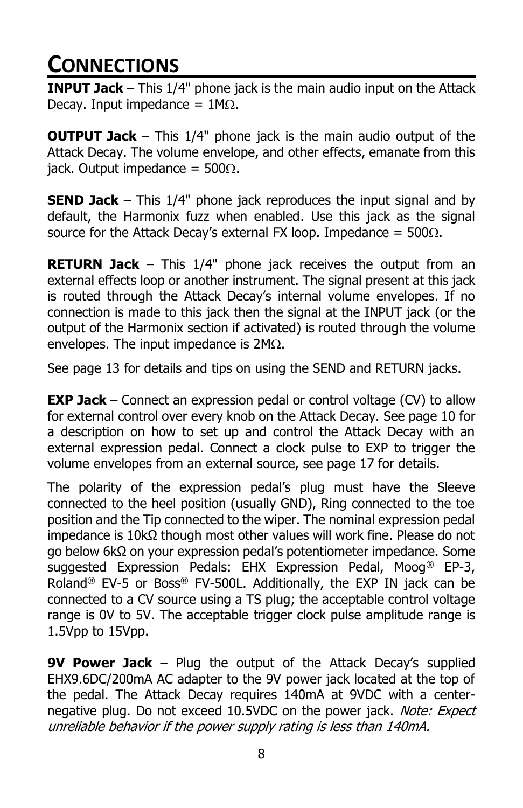### **CONNECTIONS**

**INPUT Jack** – This 1/4" phone jack is the main audio input on the Attack Decay. Input impedance =  $1M\Omega$ .

**OUTPUT Jack** – This 1/4" phone jack is the main audio output of the Attack Decay. The volume envelope, and other effects, emanate from this jack. Output impedance =  $500\Omega$ .

**SEND Jack** – This 1/4" phone jack reproduces the input signal and by default, the Harmonix fuzz when enabled. Use this jack as the signal source for the Attack Decay's external FX loop. Impedance =  $500\Omega$ .

**RETURN Jack** – This 1/4" phone jack receives the output from an external effects loop or another instrument. The signal present at this jack is routed through the Attack Decay's internal volume envelopes. If no connection is made to this jack then the signal at the INPUT jack (or the output of the Harmonix section if activated) is routed through the volume envelopes. The input impedance is  $2M<sub>\Omega</sub>$ .

See page 13 for details and tips on using the SEND and RETURN jacks.

**EXP Jack** – Connect an expression pedal or control voltage (CV) to allow for external control over every knob on the Attack Decay. See page 10 for a description on how to set up and control the Attack Decay with an external expression pedal. Connect a clock pulse to EXP to trigger the volume envelopes from an external source, see page 17 for details.

The polarity of the expression pedal's plug must have the Sleeve connected to the heel position (usually GND), Ring connected to the toe position and the Tip connected to the wiper. The nominal expression pedal impedance is 10kΩ though most other values will work fine. Please do not go below 6kΩ on your expression pedal's potentiometer impedance. Some suggested Expression Pedals: EHX Expression Pedal, Moog<sup>®</sup> EP-3, Roland<sup>®</sup> EV-5 or Boss<sup>®</sup> FV-500L. Additionally, the EXP IN jack can be connected to a CV source using a TS plug; the acceptable control voltage range is 0V to 5V. The acceptable trigger clock pulse amplitude range is 1.5Vpp to 15Vpp.

**9V Power Jack** – Plug the output of the Attack Decay's supplied EHX9.6DC/200mA AC adapter to the 9V power jack located at the top of the pedal. The Attack Decay requires 140mA at 9VDC with a centernegative plug. Do not exceed 10.5VDC on the power jack. Note: Expect unreliable behavior if the power supply rating is less than 140mA.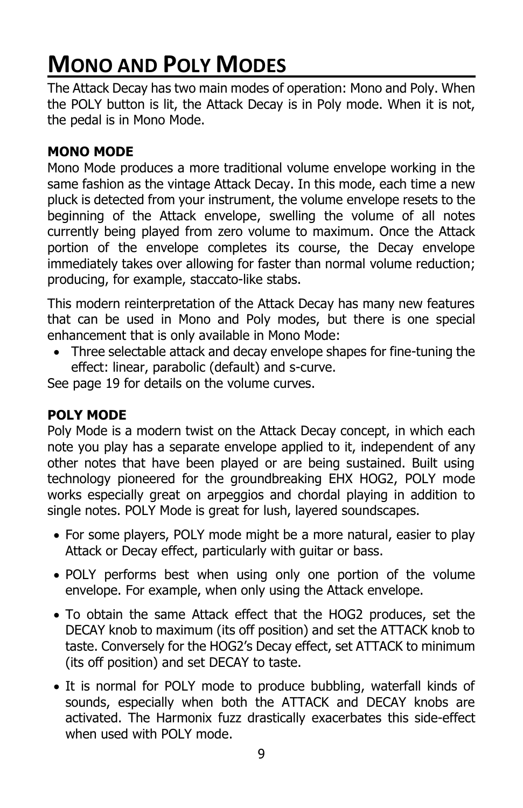### **MONO AND POLY MODES**

The Attack Decay has two main modes of operation: Mono and Poly. When the POLY button is lit, the Attack Decay is in Poly mode. When it is not, the pedal is in Mono Mode.

#### **MONO MODE**

Mono Mode produces a more traditional volume envelope working in the same fashion as the vintage Attack Decay. In this mode, each time a new pluck is detected from your instrument, the volume envelope resets to the beginning of the Attack envelope, swelling the volume of all notes currently being played from zero volume to maximum. Once the Attack portion of the envelope completes its course, the Decay envelope immediately takes over allowing for faster than normal volume reduction; producing, for example, staccato-like stabs.

This modern reinterpretation of the Attack Decay has many new features that can be used in Mono and Poly modes, but there is one special enhancement that is only available in Mono Mode:

• Three selectable attack and decay envelope shapes for fine-tuning the effect: linear, parabolic (default) and s-curve.

See page 19 for details on the volume curves.

#### **POLY MODE**

Poly Mode is a modern twist on the Attack Decay concept, in which each note you play has a separate envelope applied to it, independent of any other notes that have been played or are being sustained. Built using technology pioneered for the groundbreaking EHX HOG2, POLY mode works especially great on arpeggios and chordal playing in addition to single notes. POLY Mode is great for lush, layered soundscapes.

- For some players, POLY mode might be a more natural, easier to play Attack or Decay effect, particularly with guitar or bass.
- POLY performs best when using only one portion of the volume envelope. For example, when only using the Attack envelope.
- To obtain the same Attack effect that the HOG2 produces, set the DECAY knob to maximum (its off position) and set the ATTACK knob to taste. Conversely for the HOG2's Decay effect, set ATTACK to minimum (its off position) and set DECAY to taste.
- It is normal for POLY mode to produce bubbling, waterfall kinds of sounds, especially when both the ATTACK and DECAY knobs are activated. The Harmonix fuzz drastically exacerbates this side-effect when used with POLY mode.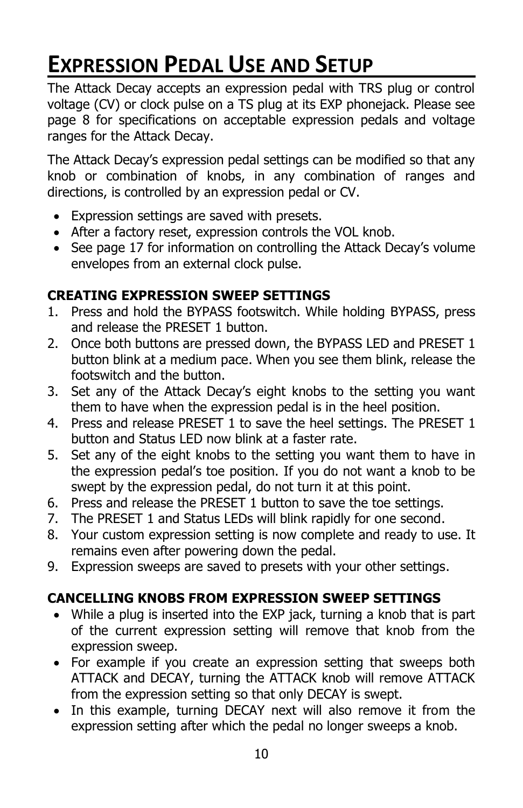### **EXPRESSION PEDAL USE AND SETUP**

The Attack Decay accepts an expression pedal with TRS plug or control voltage (CV) or clock pulse on a TS plug at its EXP phonejack. Please see page 8 for specifications on acceptable expression pedals and voltage ranges for the Attack Decay.

The Attack Decay's expression pedal settings can be modified so that any knob or combination of knobs, in any combination of ranges and directions, is controlled by an expression pedal or CV.

- Expression settings are saved with presets.
- After a factory reset, expression controls the VOL knob.
- See page 17 for information on controlling the Attack Decay's volume envelopes from an external clock pulse.

#### **CREATING EXPRESSION SWEEP SETTINGS**

- 1. Press and hold the BYPASS footswitch. While holding BYPASS, press and release the PRESET 1 button.
- 2. Once both buttons are pressed down, the BYPASS LED and PRESET 1 button blink at a medium pace. When you see them blink, release the footswitch and the button.
- 3. Set any of the Attack Decay's eight knobs to the setting you want them to have when the expression pedal is in the heel position.
- 4. Press and release PRESET 1 to save the heel settings. The PRESET 1 button and Status LED now blink at a faster rate.
- 5. Set any of the eight knobs to the setting you want them to have in the expression pedal's toe position. If you do not want a knob to be swept by the expression pedal, do not turn it at this point.
- 6. Press and release the PRESET 1 button to save the toe settings.
- 7. The PRESET 1 and Status LEDs will blink rapidly for one second.
- 8. Your custom expression setting is now complete and ready to use. It remains even after powering down the pedal.
- 9. Expression sweeps are saved to presets with your other settings.

#### **CANCELLING KNOBS FROM EXPRESSION SWEEP SETTINGS**

- While a plug is inserted into the EXP jack, turning a knob that is part of the current expression setting will remove that knob from the expression sweep.
- For example if you create an expression setting that sweeps both ATTACK and DECAY, turning the ATTACK knob will remove ATTACK from the expression setting so that only DECAY is swept.
- In this example, turning DECAY next will also remove it from the expression setting after which the pedal no longer sweeps a knob.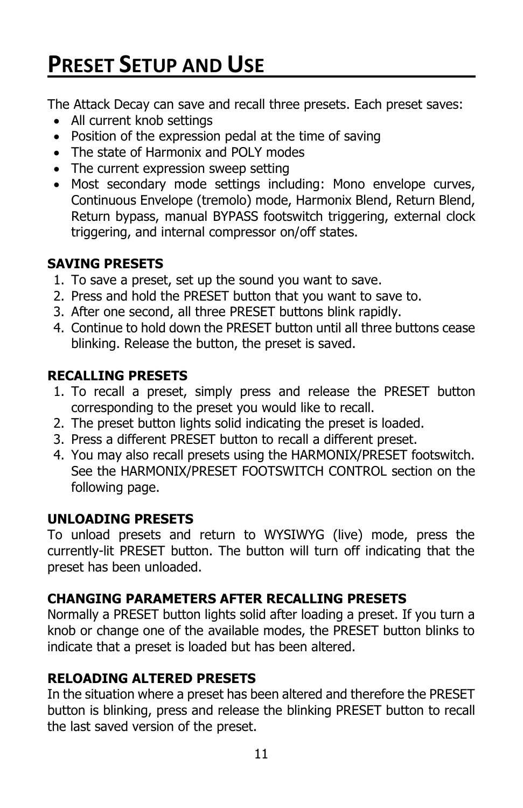### **PRESET SETUP AND USE**

The Attack Decay can save and recall three presets. Each preset saves:

- All current knob settings
- Position of the expression pedal at the time of saving
- The state of Harmonix and POLY modes
- The current expression sweep setting
- Most secondary mode settings including: Mono envelope curves, Continuous Envelope (tremolo) mode, Harmonix Blend, Return Blend, Return bypass, manual BYPASS footswitch triggering, external clock triggering, and internal compressor on/off states.

#### **SAVING PRESETS**

- 1. To save a preset, set up the sound you want to save.
- 2. Press and hold the PRESET button that you want to save to.
- 3. After one second, all three PRESET buttons blink rapidly.
- 4. Continue to hold down the PRESET button until all three buttons cease blinking. Release the button, the preset is saved.

#### **RECALLING PRESETS**

- 1. To recall a preset, simply press and release the PRESET button corresponding to the preset you would like to recall.
- 2. The preset button lights solid indicating the preset is loaded.
- 3. Press a different PRESET button to recall a different preset.
- 4. You may also recall presets using the HARMONIX/PRESET footswitch. See the HARMONIX/PRESET FOOTSWITCH CONTROL section on the following page.

#### **UNLOADING PRESETS**

To unload presets and return to WYSIWYG (live) mode, press the currently-lit PRESET button. The button will turn off indicating that the preset has been unloaded.

#### **CHANGING PARAMETERS AFTER RECALLING PRESETS**

Normally a PRESET button lights solid after loading a preset. If you turn a knob or change one of the available modes, the PRESET button blinks to indicate that a preset is loaded but has been altered.

#### **RELOADING ALTERED PRESETS**

In the situation where a preset has been altered and therefore the PRESET button is blinking, press and release the blinking PRESET button to recall the last saved version of the preset.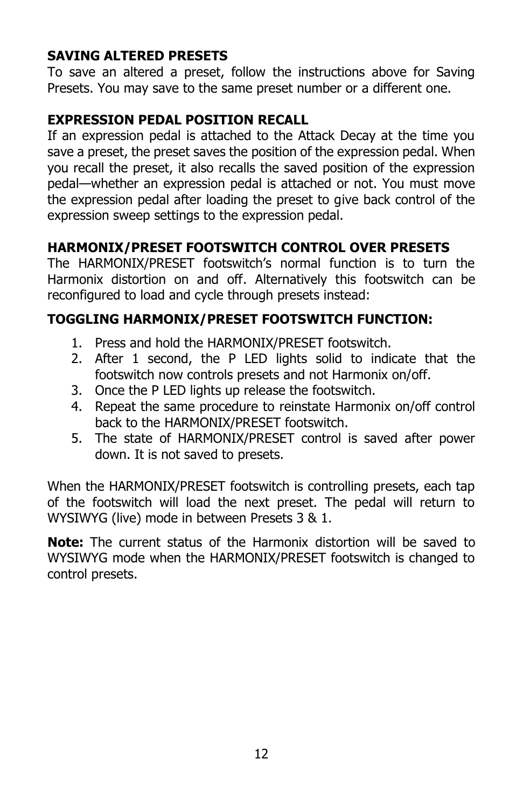#### **SAVING ALTERED PRESETS**

To save an altered a preset, follow the instructions above for Saving Presets. You may save to the same preset number or a different one.

#### **EXPRESSION PEDAL POSITION RECALL**

If an expression pedal is attached to the Attack Decay at the time you save a preset, the preset saves the position of the expression pedal. When you recall the preset, it also recalls the saved position of the expression pedal—whether an expression pedal is attached or not. You must move the expression pedal after loading the preset to give back control of the expression sweep settings to the expression pedal.

#### **HARMONIX/PRESET FOOTSWITCH CONTROL OVER PRESETS**

The HARMONIX/PRESET footswitch's normal function is to turn the Harmonix distortion on and off. Alternatively this footswitch can be reconfigured to load and cycle through presets instead:

#### **TOGGLING HARMONIX/PRESET FOOTSWITCH FUNCTION:**

- 1. Press and hold the HARMONIX/PRESET footswitch.
- 2. After 1 second, the P LED lights solid to indicate that the footswitch now controls presets and not Harmonix on/off.
- 3. Once the P LED lights up release the footswitch.
- 4. Repeat the same procedure to reinstate Harmonix on/off control back to the HARMONIX/PRESET footswitch.
- 5. The state of HARMONIX/PRESET control is saved after power down. It is not saved to presets.

When the HARMONIX/PRESET footswitch is controlling presets, each tap of the footswitch will load the next preset. The pedal will return to WYSIWYG (live) mode in between Presets 3 & 1.

**Note:** The current status of the Harmonix distortion will be saved to WYSIWYG mode when the HARMONIX/PRESET footswitch is changed to control presets.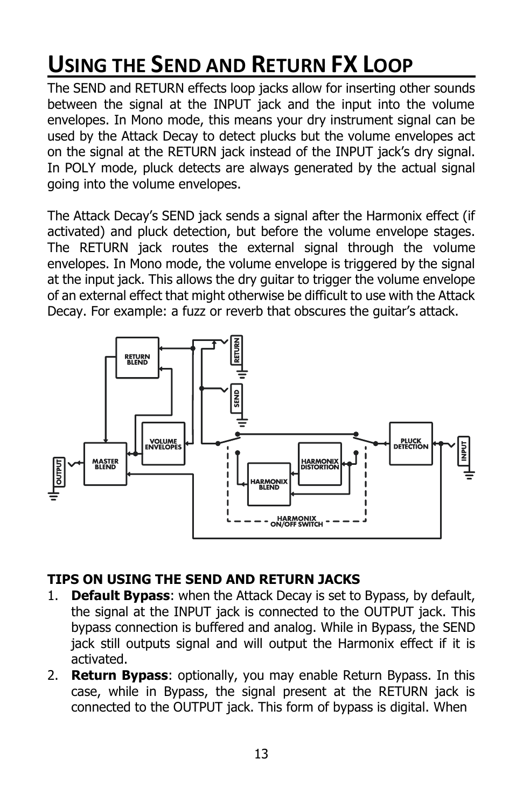### **USING THE SEND AND RETURN FX LOOP**

The SEND and RETURN effects loop jacks allow for inserting other sounds between the signal at the INPUT jack and the input into the volume envelopes. In Mono mode, this means your dry instrument signal can be used by the Attack Decay to detect plucks but the volume envelopes act on the signal at the RETURN jack instead of the INPUT jack's dry signal. In POLY mode, pluck detects are always generated by the actual signal going into the volume envelopes.

The Attack Decay's SEND jack sends a signal after the Harmonix effect (if activated) and pluck detection, but before the volume envelope stages. The RETURN jack routes the external signal through the volume envelopes. In Mono mode, the volume envelope is triggered by the signal at the input jack. This allows the dry guitar to trigger the volume envelope of an external effect that might otherwise be difficult to use with the Attack Decay. For example: a fuzz or reverb that obscures the guitar's attack.



#### **TIPS ON USING THE SEND AND RETURN JACKS**

- 1. **Default Bypass**: when the Attack Decay is set to Bypass, by default, the signal at the INPUT jack is connected to the OUTPUT jack. This bypass connection is buffered and analog. While in Bypass, the SEND jack still outputs signal and will output the Harmonix effect if it is activated.
- 2. **Return Bypass**: optionally, you may enable Return Bypass. In this case, while in Bypass, the signal present at the RETURN jack is connected to the OUTPUT jack. This form of bypass is digital. When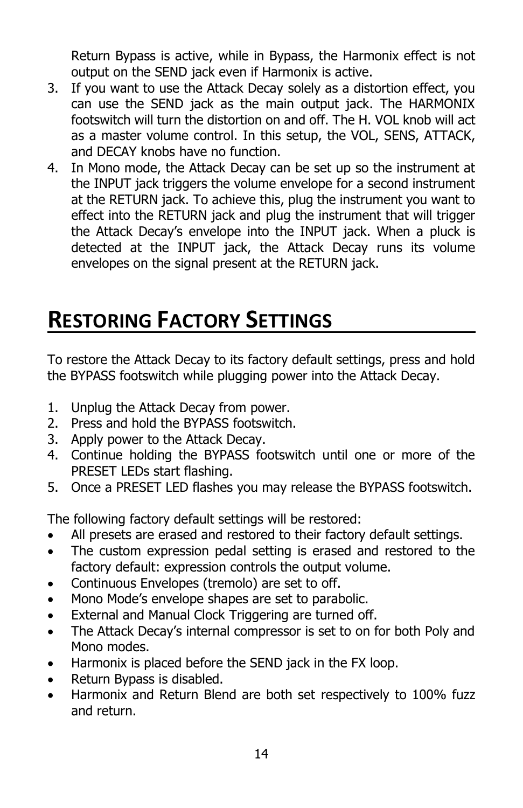Return Bypass is active, while in Bypass, the Harmonix effect is not output on the SEND jack even if Harmonix is active.

- 3. If you want to use the Attack Decay solely as a distortion effect, you can use the SEND jack as the main output jack. The HARMONIX footswitch will turn the distortion on and off. The H. VOL knob will act as a master volume control. In this setup, the VOL, SENS, ATTACK, and DECAY knobs have no function.
- 4. In Mono mode, the Attack Decay can be set up so the instrument at the INPUT jack triggers the volume envelope for a second instrument at the RETURN jack. To achieve this, plug the instrument you want to effect into the RETURN jack and plug the instrument that will trigger the Attack Decay's envelope into the INPUT jack. When a pluck is detected at the INPUT jack, the Attack Decay runs its volume envelopes on the signal present at the RETURN jack.

### **RESTORING FACTORY SETTINGS**

To restore the Attack Decay to its factory default settings, press and hold the BYPASS footswitch while plugging power into the Attack Decay.

- 1. Unplug the Attack Decay from power.
- 2. Press and hold the BYPASS footswitch.
- 3. Apply power to the Attack Decay.
- 4. Continue holding the BYPASS footswitch until one or more of the PRESET LEDs start flashing.
- 5. Once a PRESET LED flashes you may release the BYPASS footswitch.

The following factory default settings will be restored:

- All presets are erased and restored to their factory default settings.
- The custom expression pedal setting is erased and restored to the factory default: expression controls the output volume.
- Continuous Envelopes (tremolo) are set to off.
- Mono Mode's envelope shapes are set to parabolic.
- External and Manual Clock Triggering are turned off.
- The Attack Decay's internal compressor is set to on for both Poly and Mono modes.
- Harmonix is placed before the SEND jack in the FX loop.
- Return Bypass is disabled.
- Harmonix and Return Blend are both set respectively to 100% fuzz and return.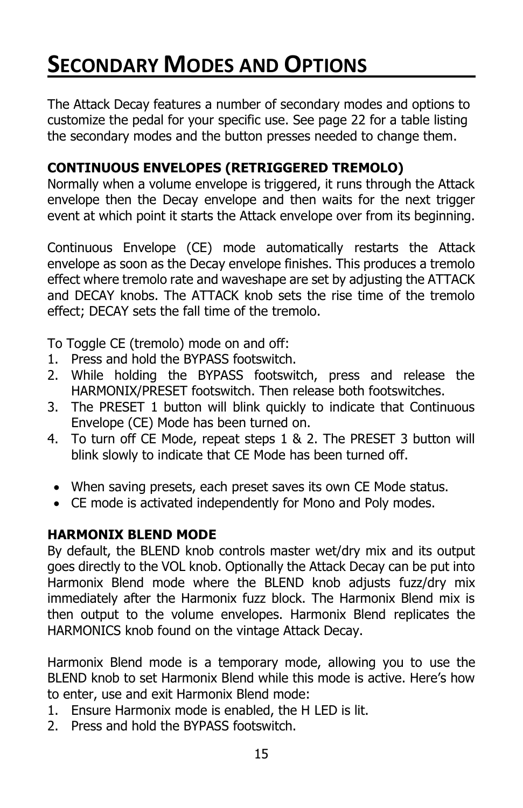### **SECONDARY MODES AND OPTIONS**

The Attack Decay features a number of secondary modes and options to customize the pedal for your specific use. See page 22 for a table listing the secondary modes and the button presses needed to change them.

#### **CONTINUOUS ENVELOPES (RETRIGGERED TREMOLO)**

Normally when a volume envelope is triggered, it runs through the Attack envelope then the Decay envelope and then waits for the next trigger event at which point it starts the Attack envelope over from its beginning.

Continuous Envelope (CE) mode automatically restarts the Attack envelope as soon as the Decay envelope finishes. This produces a tremolo effect where tremolo rate and waveshape are set by adjusting the ATTACK and DECAY knobs. The ATTACK knob sets the rise time of the tremolo effect; DECAY sets the fall time of the tremolo.

To Toggle CE (tremolo) mode on and off:

- 1. Press and hold the BYPASS footswitch.
- 2. While holding the BYPASS footswitch, press and release the HARMONIX/PRESET footswitch. Then release both footswitches.
- 3. The PRESET 1 button will blink quickly to indicate that Continuous Envelope (CE) Mode has been turned on.
- 4. To turn off CE Mode, repeat steps 1 & 2. The PRESET 3 button will blink slowly to indicate that CE Mode has been turned off.
- When saving presets, each preset saves its own CE Mode status.
- CE mode is activated independently for Mono and Poly modes.

#### **HARMONIX BLEND MODE**

By default, the BLEND knob controls master wet/dry mix and its output goes directly to the VOL knob. Optionally the Attack Decay can be put into Harmonix Blend mode where the BLEND knob adjusts fuzz/dry mix immediately after the Harmonix fuzz block. The Harmonix Blend mix is then output to the volume envelopes. Harmonix Blend replicates the HARMONICS knob found on the vintage Attack Decay.

Harmonix Blend mode is a temporary mode, allowing you to use the BLEND knob to set Harmonix Blend while this mode is active. Here's how to enter, use and exit Harmonix Blend mode:

- 1. Ensure Harmonix mode is enabled, the H LED is lit.
- 2. Press and hold the BYPASS footswitch.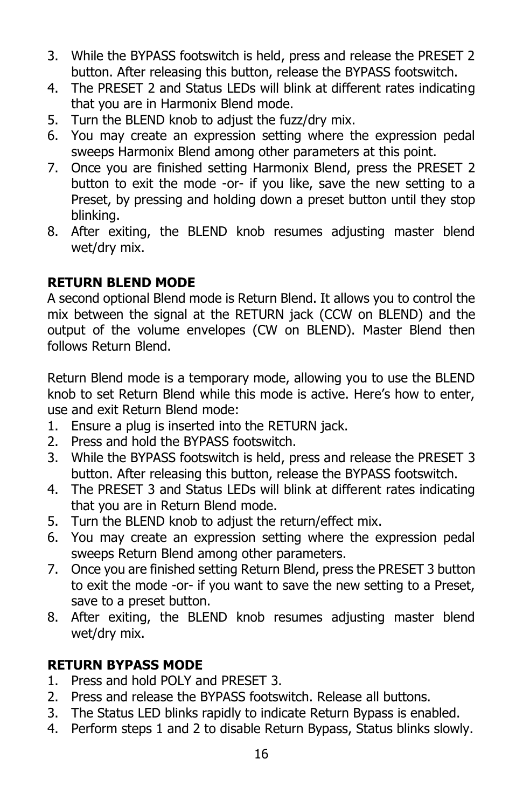- 3. While the BYPASS footswitch is held, press and release the PRESET 2 button. After releasing this button, release the BYPASS footswitch.
- 4. The PRESET 2 and Status LEDs will blink at different rates indicating that you are in Harmonix Blend mode.
- 5. Turn the BLEND knob to adjust the fuzz/dry mix.
- 6. You may create an expression setting where the expression pedal sweeps Harmonix Blend among other parameters at this point.
- 7. Once you are finished setting Harmonix Blend, press the PRESET 2 button to exit the mode -or- if you like, save the new setting to a Preset, by pressing and holding down a preset button until they stop blinking.
- 8. After exiting, the BLEND knob resumes adjusting master blend wet/dry mix.

#### **RETURN BLEND MODE**

A second optional Blend mode is Return Blend. It allows you to control the mix between the signal at the RETURN jack (CCW on BLEND) and the output of the volume envelopes (CW on BLEND). Master Blend then follows Return Blend.

Return Blend mode is a temporary mode, allowing you to use the BLEND knob to set Return Blend while this mode is active. Here's how to enter, use and exit Return Blend mode:

- 1. Ensure a plug is inserted into the RETURN jack.
- 2. Press and hold the BYPASS footswitch.
- 3. While the BYPASS footswitch is held, press and release the PRESET 3 button. After releasing this button, release the BYPASS footswitch.
- 4. The PRESET 3 and Status LEDs will blink at different rates indicating that you are in Return Blend mode.
- 5. Turn the BLEND knob to adjust the return/effect mix.
- 6. You may create an expression setting where the expression pedal sweeps Return Blend among other parameters.
- 7. Once you are finished setting Return Blend, press the PRESET 3 button to exit the mode -or- if you want to save the new setting to a Preset, save to a preset button.
- 8. After exiting, the BLEND knob resumes adjusting master blend wet/dry mix.

#### **RETURN BYPASS MODE**

- 1. Press and hold POLY and PRESET 3.
- 2. Press and release the BYPASS footswitch. Release all buttons.
- 3. The Status LED blinks rapidly to indicate Return Bypass is enabled.
- 4. Perform steps 1 and 2 to disable Return Bypass, Status blinks slowly.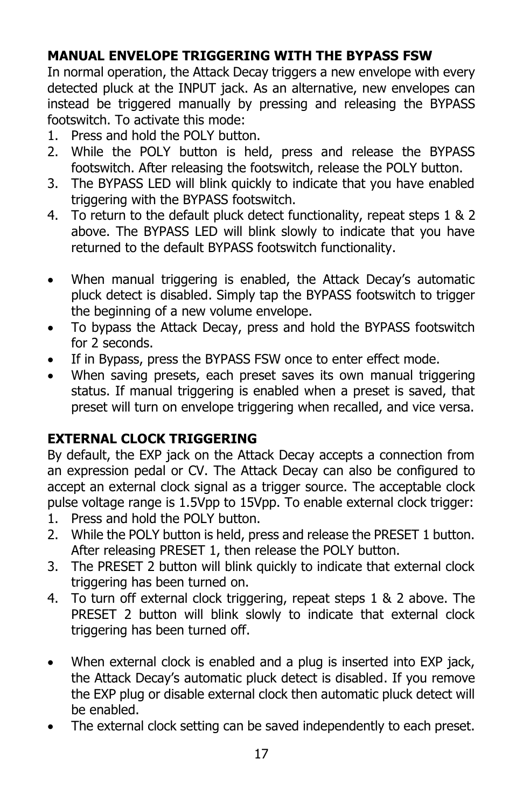#### **MANUAL ENVELOPE TRIGGERING WITH THE BYPASS FSW**

In normal operation, the Attack Decay triggers a new envelope with every detected pluck at the INPUT jack. As an alternative, new envelopes can instead be triggered manually by pressing and releasing the BYPASS footswitch. To activate this mode:

- 1. Press and hold the POLY button.
- 2. While the POLY button is held, press and release the BYPASS footswitch. After releasing the footswitch, release the POLY button.
- 3. The BYPASS LED will blink quickly to indicate that you have enabled triggering with the BYPASS footswitch.
- 4. To return to the default pluck detect functionality, repeat steps 1 & 2 above. The BYPASS LED will blink slowly to indicate that you have returned to the default BYPASS footswitch functionality.
- When manual triggering is enabled, the Attack Decay's automatic pluck detect is disabled. Simply tap the BYPASS footswitch to trigger the beginning of a new volume envelope.
- To bypass the Attack Decay, press and hold the BYPASS footswitch for 2 seconds.
- If in Bypass, press the BYPASS FSW once to enter effect mode.
- When saving presets, each preset saves its own manual triggering status. If manual triggering is enabled when a preset is saved, that preset will turn on envelope triggering when recalled, and vice versa.

#### **EXTERNAL CLOCK TRIGGERING**

By default, the EXP jack on the Attack Decay accepts a connection from an expression pedal or CV. The Attack Decay can also be configured to accept an external clock signal as a trigger source. The acceptable clock pulse voltage range is 1.5Vpp to 15Vpp. To enable external clock trigger:

- 1. Press and hold the POLY button.
- 2. While the POLY button is held, press and release the PRESET 1 button. After releasing PRESET 1, then release the POLY button.
- 3. The PRESET 2 button will blink quickly to indicate that external clock triggering has been turned on.
- 4. To turn off external clock triggering, repeat steps 1 & 2 above. The PRESET 2 button will blink slowly to indicate that external clock triggering has been turned off.
- When external clock is enabled and a plug is inserted into EXP jack, the Attack Decay's automatic pluck detect is disabled. If you remove the EXP plug or disable external clock then automatic pluck detect will be enabled.
- The external clock setting can be saved independently to each preset.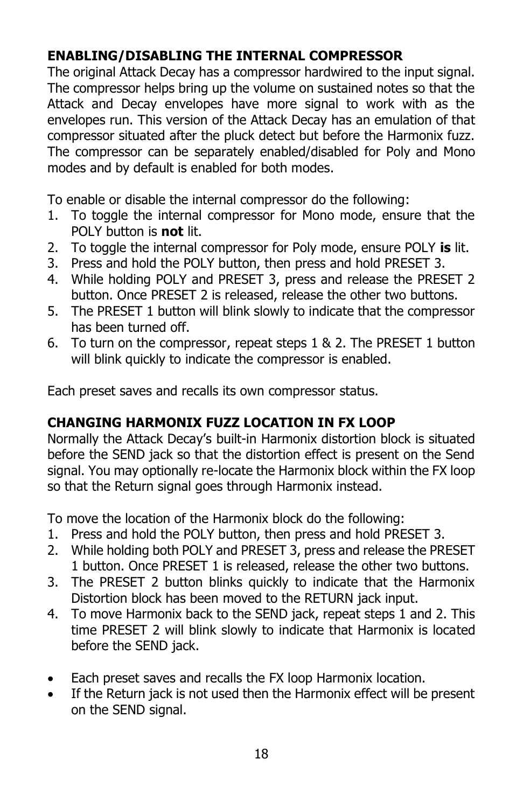#### **ENABLING/DISABLING THE INTERNAL COMPRESSOR**

The original Attack Decay has a compressor hardwired to the input signal. The compressor helps bring up the volume on sustained notes so that the Attack and Decay envelopes have more signal to work with as the envelopes run. This version of the Attack Decay has an emulation of that compressor situated after the pluck detect but before the Harmonix fuzz. The compressor can be separately enabled/disabled for Poly and Mono modes and by default is enabled for both modes.

To enable or disable the internal compressor do the following:

- 1. To toggle the internal compressor for Mono mode, ensure that the POLY button is **not** lit.
- 2. To toggle the internal compressor for Poly mode, ensure POLY **is** lit.
- 3. Press and hold the POLY button, then press and hold PRESET 3.
- 4. While holding POLY and PRESET 3, press and release the PRESET 2 button. Once PRESET 2 is released, release the other two buttons.
- 5. The PRESET 1 button will blink slowly to indicate that the compressor has been turned off.
- 6. To turn on the compressor, repeat steps 1 & 2. The PRESET 1 button will blink quickly to indicate the compressor is enabled.

Each preset saves and recalls its own compressor status.

#### **CHANGING HARMONIX FUZZ LOCATION IN FX LOOP**

Normally the Attack Decay's built-in Harmonix distortion block is situated before the SEND jack so that the distortion effect is present on the Send signal. You may optionally re-locate the Harmonix block within the FX loop so that the Return signal goes through Harmonix instead.

To move the location of the Harmonix block do the following:

- 1. Press and hold the POLY button, then press and hold PRESET 3.
- 2. While holding both POLY and PRESET 3, press and release the PRESET 1 button. Once PRESET 1 is released, release the other two buttons.
- 3. The PRESET 2 button blinks quickly to indicate that the Harmonix Distortion block has been moved to the RETURN jack input.
- 4. To move Harmonix back to the SEND jack, repeat steps 1 and 2. This time PRESET 2 will blink slowly to indicate that Harmonix is located before the SEND jack.
- Each preset saves and recalls the FX loop Harmonix location.
- If the Return jack is not used then the Harmonix effect will be present on the SEND signal.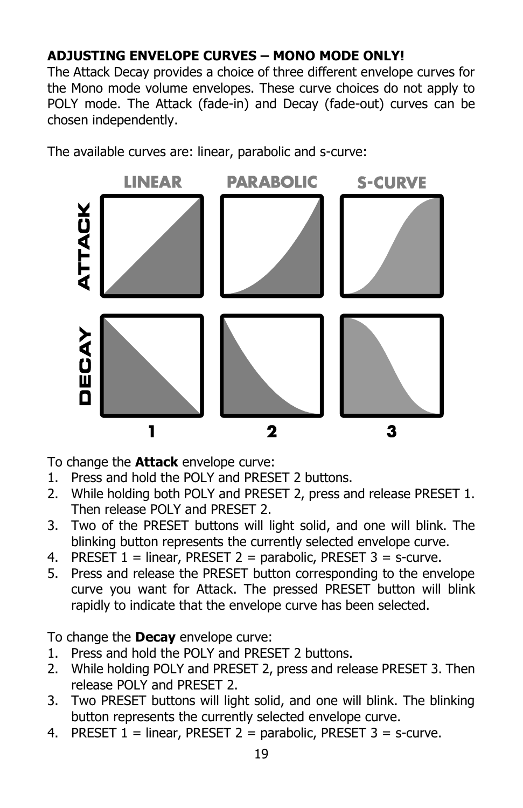#### **ADJUSTING ENVELOPE CURVES – MONO MODE ONLY!**

The Attack Decay provides a choice of three different envelope curves for the Mono mode volume envelopes. These curve choices do not apply to POLY mode. The Attack (fade-in) and Decay (fade-out) curves can be chosen independently.

The available curves are: linear, parabolic and s-curve:



To change the **Attack** envelope curve:

- 1. Press and hold the POLY and PRESET 2 buttons.
- 2. While holding both POLY and PRESET 2, press and release PRESET 1. Then release POLY and PRESET 2.
- 3. Two of the PRESET buttons will light solid, and one will blink. The blinking button represents the currently selected envelope curve.
- 4. PRESET  $1 =$  linear, PRESET  $2 =$  parabolic, PRESET  $3 =$  s-curve.
- 5. Press and release the PRESET button corresponding to the envelope curve you want for Attack. The pressed PRESET button will blink rapidly to indicate that the envelope curve has been selected.

To change the **Decay** envelope curve:

- 1. Press and hold the POLY and PRESET 2 buttons.
- 2. While holding POLY and PRESET 2, press and release PRESET 3. Then release POLY and PRESET 2.
- 3. Two PRESET buttons will light solid, and one will blink. The blinking button represents the currently selected envelope curve.
- 4. PRESET  $1 =$  linear, PRESET  $2 =$  parabolic, PRESET  $3 =$  s-curve.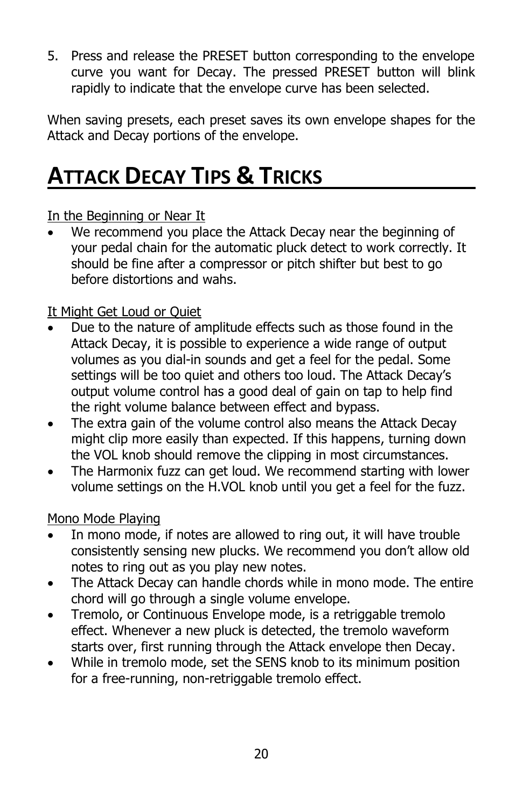5. Press and release the PRESET button corresponding to the envelope curve you want for Decay. The pressed PRESET button will blink rapidly to indicate that the envelope curve has been selected.

When saving presets, each preset saves its own envelope shapes for the Attack and Decay portions of the envelope.

### **ATTACK DECAY TIPS & TRICKS**

In the Beginning or Near It

We recommend you place the Attack Decay near the beginning of your pedal chain for the automatic pluck detect to work correctly. It should be fine after a compressor or pitch shifter but best to go before distortions and wahs.

#### It Might Get Loud or Quiet

- Due to the nature of amplitude effects such as those found in the Attack Decay, it is possible to experience a wide range of output volumes as you dial-in sounds and get a feel for the pedal. Some settings will be too quiet and others too loud. The Attack Decay's output volume control has a good deal of gain on tap to help find the right volume balance between effect and bypass.
- The extra gain of the volume control also means the Attack Decay might clip more easily than expected. If this happens, turning down the VOL knob should remove the clipping in most circumstances.
- The Harmonix fuzz can get loud. We recommend starting with lower volume settings on the H.VOL knob until you get a feel for the fuzz.

Mono Mode Playing

- In mono mode, if notes are allowed to ring out, it will have trouble consistently sensing new plucks. We recommend you don't allow old notes to ring out as you play new notes.
- The Attack Decay can handle chords while in mono mode. The entire chord will go through a single volume envelope.
- Tremolo, or Continuous Envelope mode, is a retriggable tremolo effect. Whenever a new pluck is detected, the tremolo waveform starts over, first running through the Attack envelope then Decay.
- While in tremolo mode, set the SENS knob to its minimum position for a free-running, non-retriggable tremolo effect.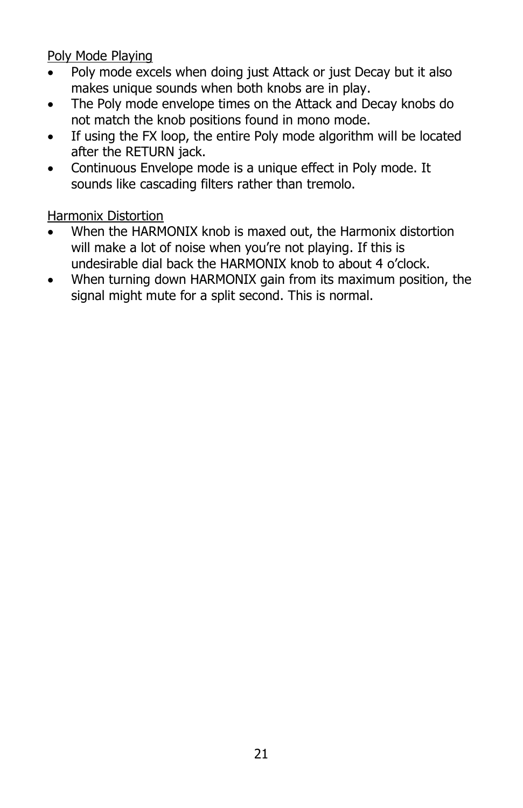Poly Mode Playing

- Poly mode excels when doing just Attack or just Decay but it also makes unique sounds when both knobs are in play.
- The Poly mode envelope times on the Attack and Decay knobs do not match the knob positions found in mono mode.
- If using the FX loop, the entire Poly mode algorithm will be located after the RETURN jack.
- Continuous Envelope mode is a unique effect in Poly mode. It sounds like cascading filters rather than tremolo.

Harmonix Distortion

- When the HARMONIX knob is maxed out, the Harmonix distortion will make a lot of noise when you're not playing. If this is undesirable dial back the HARMONIX knob to about 4 o'clock.
- When turning down HARMONIX gain from its maximum position, the signal might mute for a split second. This is normal.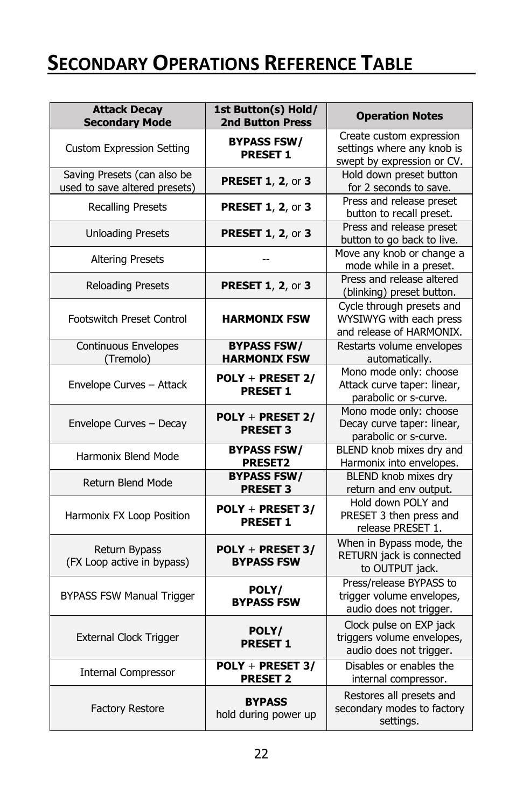### **SECONDARY OPERATIONS REFERENCE TABLE**

| <b>Attack Decay</b><br><b>Secondary Mode</b>                 | 1st Button(s) Hold/<br><b>2nd Button Press</b> | <b>Operation Notes</b>                                                               |
|--------------------------------------------------------------|------------------------------------------------|--------------------------------------------------------------------------------------|
| <b>Custom Expression Setting</b>                             | <b>BYPASS FSW/</b><br><b>PRESET 1</b>          | Create custom expression<br>settings where any knob is<br>swept by expression or CV. |
| Saving Presets (can also be<br>used to save altered presets) | <b>PRESET 1, 2, or 3</b>                       | Hold down preset button<br>for 2 seconds to save.                                    |
| <b>Recalling Presets</b>                                     | <b>PRESET 1, 2, or 3</b>                       | Press and release preset<br>button to recall preset.                                 |
| <b>Unloading Presets</b>                                     | <b>PRESET 1, 2, or 3</b>                       | Press and release preset<br>button to go back to live.                               |
| <b>Altering Presets</b>                                      |                                                | Move any knob or change a<br>mode while in a preset.                                 |
| <b>Reloading Presets</b>                                     | <b>PRESET 1, 2, or 3</b>                       | Press and release altered<br>(blinking) preset button.                               |
| Footswitch Preset Control                                    | <b>HARMONIX FSW</b>                            | Cycle through presets and<br>WYSIWYG with each press<br>and release of HARMONIX.     |
| <b>Continuous Envelopes</b><br>(Tremolo)                     | <b>BYPASS FSW/</b><br><b>HARMONIX FSW</b>      | Restarts volume envelopes<br>automatically.                                          |
| Envelope Curves - Attack                                     | POLY + PRESET 2/<br><b>PRESET 1</b>            | Mono mode only: choose<br>Attack curve taper: linear,<br>parabolic or s-curve.       |
| Envelope Curves - Decay                                      | POLY + PRESET 2/<br><b>PRESET 3</b>            | Mono mode only: choose<br>Decay curve taper: linear,<br>parabolic or s-curve.        |
| Harmonix Blend Mode                                          | <b>BYPASS FSW/</b><br><b>PRESET2</b>           | BLEND knob mixes dry and<br>Harmonix into envelopes.                                 |
| <b>Return Blend Mode</b>                                     | <b>BYPASS FSW/</b><br><b>PRESET 3</b>          | BLEND knob mixes dry<br>return and env output.                                       |
| Harmonix FX Loop Position                                    | POLY + PRESET 3/<br><b>PRESET 1</b>            | Hold down POLY and<br>PRESET 3 then press and<br>release PRESET 1.                   |
| Return Bypass<br>(FX Loop active in bypass)                  | POLY + PRESET 3/<br><b>BYPASS FSW</b>          | When in Bypass mode, the<br>RETURN jack is connected<br>to OUTPUT jack.              |
| <b>BYPASS FSW Manual Trigger</b>                             | POLY/<br><b>BYPASS FSW</b>                     | Press/release BYPASS to<br>trigger volume envelopes,<br>audio does not trigger.      |
| External Clock Trigger                                       | POLY/<br><b>PRESET 1</b>                       | Clock pulse on EXP jack<br>triggers volume envelopes,<br>audio does not trigger.     |
| <b>Internal Compressor</b>                                   | POLY + PRESET 3/<br><b>PRESET 2</b>            | Disables or enables the<br>internal compressor.                                      |
| <b>Factory Restore</b>                                       | <b>BYPASS</b><br>hold during power up          | Restores all presets and<br>secondary modes to factory<br>settings.                  |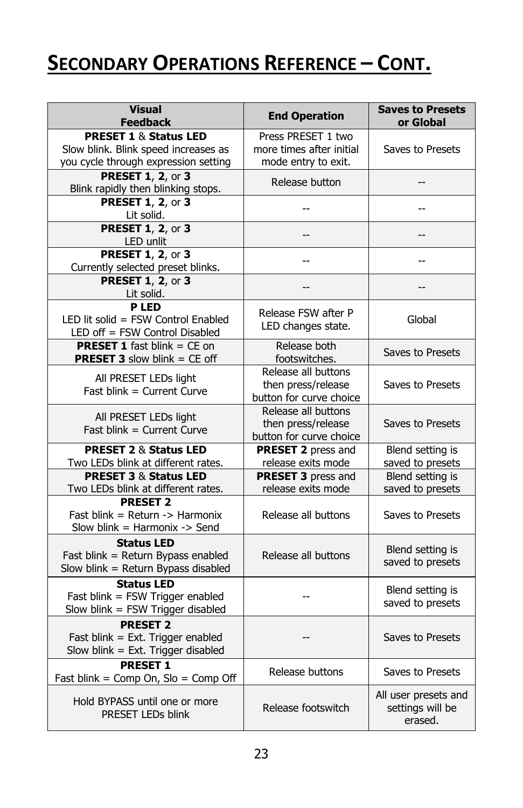### **SECONDARY OPERATIONS REFERENCE – CONT.**

| <b>Visual</b><br><b>Feedback</b>                                                                                 | <b>End Operation</b>                                                  | <b>Saves to Presets</b><br>or Global                |
|------------------------------------------------------------------------------------------------------------------|-----------------------------------------------------------------------|-----------------------------------------------------|
| <b>PRESET 1 &amp; Status LED</b><br>Slow blink. Blink speed increases as<br>you cycle through expression setting | Press PRESET 1 two<br>more times after initial<br>mode entry to exit. | Saves to Presets                                    |
| <b>PRESET 1, 2, or 3</b><br>Blink rapidly then blinking stops.                                                   | Release button                                                        |                                                     |
| <b>PRESET 1, 2, or 3</b><br>Lit solid.                                                                           | --                                                                    | --                                                  |
| <b>PRESET 1, 2, or 3</b><br>LED unlit                                                                            | --                                                                    | --                                                  |
| <b>PRESET 1, 2, or 3</b><br>Currently selected preset blinks.                                                    | 44                                                                    | $-$                                                 |
| <b>PRESET 1, 2, or 3</b><br>Lit solid.                                                                           |                                                                       |                                                     |
| <b>PLED</b><br>LED lit solid = FSW Control Enabled<br>LED off = FSW Control Disabled                             | Release FSW after P<br>LED changes state.                             | Global                                              |
| <b>PRESET 1</b> fast blink $=$ CE on<br><b>PRESET 3</b> slow blink $=$ CE off                                    | Release both<br>footswitches.                                         | Saves to Presets                                    |
| All PRESET LEDs light<br>Fast blink = Current Curve                                                              | Release all buttons<br>then press/release<br>button for curve choice  | Saves to Presets                                    |
| All PRESET LEDs light<br>Fast blink = Current Curve                                                              | Release all buttons<br>then press/release<br>button for curve choice  | Saves to Presets                                    |
| <b>PRESET 2 &amp; Status LED</b><br>Two LEDs blink at different rates.                                           | <b>PRESET 2</b> press and<br>release exits mode                       | Blend setting is<br>saved to presets                |
| <b>PRESET 3 &amp; Status LED</b><br>Two LEDs blink at different rates.                                           | <b>PRESET 3</b> press and<br>release exits mode                       | Blend setting is<br>saved to presets                |
| <b>PRESET 2</b><br>Fast blink = Return $\rightarrow$ Harmonix<br>Slow blink = Harmonix $\rightarrow$ Send        | Release all buttons                                                   | Saves to Presets                                    |
| <b>Status LED</b><br>Fast blink = Return Bypass enabled<br>Slow blink = Return Bypass disabled                   | Release all buttons                                                   | Blend setting is<br>saved to presets                |
| <b>Status LED</b><br>Fast blink = FSW Trigger enabled<br>Slow blin $k =$ FSW Trigger disabled                    |                                                                       | Blend setting is<br>saved to presets                |
| <b>PRESET 2</b><br>Fast blink = Ext. Trigger enabled<br>Slow blink = Ext. Trigger disabled                       |                                                                       | Saves to Presets                                    |
| <b>PRESET 1</b><br>Fast blink = Comp On, $Slo = Comp$ Off                                                        | Release buttons                                                       | Saves to Presets                                    |
| Hold BYPASS until one or more<br>PRESET LEDs blink                                                               | Release footswitch                                                    | All user presets and<br>settings will be<br>erased. |